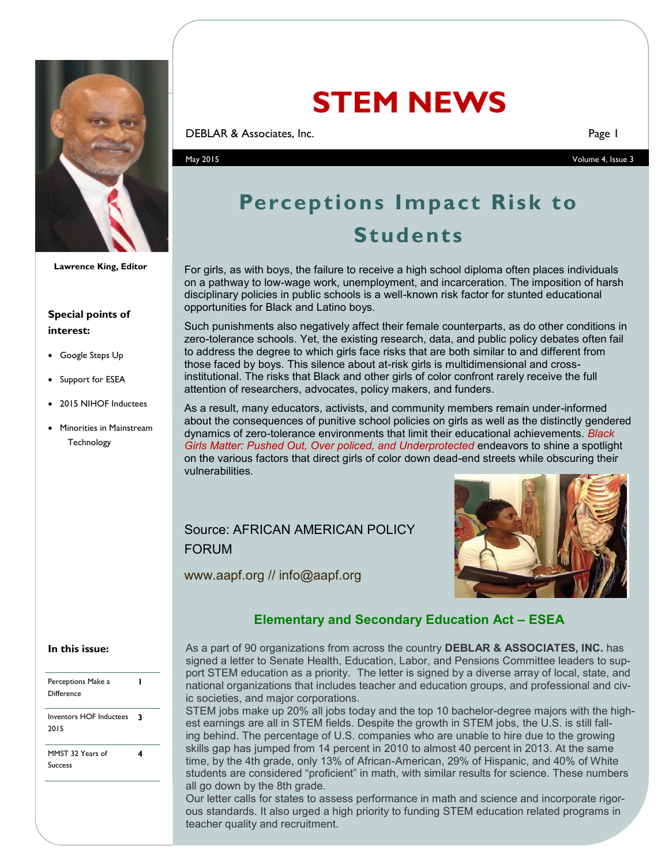

**Lawrence King, Editor**

#### **Special points of interest:**

- Google Steps Up
- Support for ESEA
- 2015 NIHOF Inductees
- Minorities in Mainstream **Technology**

# **STEM NEWS**

**DEBLAR & Associates, Inc.** Page 1

May 2015 Volume 4, Issue 3

# **Perceptions Impact Risk to Students**

For girls, as with boys, the failure to receive a high school diploma often places individuals on a pathway to low-wage work, unemployment, and incarceration. The imposition of harsh disciplinary policies in public schools is a well-known risk factor for stunted educational opportunities for Black and Latino boys.

Such punishments also negatively affect their female counterparts, as do other conditions in zero-tolerance schools. Yet, the existing research, data, and public policy debates often fail to address the degree to which girls face risks that are both similar to and different from those faced by boys. This silence about at-risk girls is multidimensional and crossinstitutional. The risks that Black and other girls of color confront rarely receive the full attention of researchers, advocates, policy makers, and funders.

As a result, many educators, activists, and community members remain under-informed about the consequences of punitive school policies on girls as well as the distinctly gendered dynamics of zero-tolerance environments that limit their educational achievements. *Black Girls Matter: Pushed Out, Over policed, and Underprotected* endeavors to shine a spotlight on the various factors that direct girls of color down dead-end streets while obscuring their vulnerabilities.

# Source: AFRICAN AMERICAN POLICY FORUM

www.aapf.org // info@aapf.org



## **Elementary and Secondary Education Act – ESEA**

#### **In this issue:**

|  | Perceptions Make a<br>Difference       |   |
|--|----------------------------------------|---|
|  | <b>Inventors HOF Inductees</b><br>2015 | ર |
|  | MMST 32 Years of<br>Success            |   |

As a part of 90 organizations from across the country **DEBLAR & ASSOCIATES, INC.** has signed a letter to Senate Health, Education, Labor, and Pensions Committee leaders to support STEM education as a priority. The letter is signed by a diverse array of local, state, and national organizations that includes teacher and education groups, and professional and civic societies, and major corporations.

STEM jobs make up 20% all jobs today and the top 10 bachelor-degree majors with the highest earnings are all in STEM fields. Despite the growth in STEM jobs, the U.S. is still falling behind. The percentage of U.S. companies who are unable to hire due to the growing skills gap has jumped from 14 percent in 2010 to almost 40 percent in 2013. At the same time, by the 4th grade, only 13% of African-American, 29% of Hispanic, and 40% of White students are considered "proficient" in math, with similar results for science. These numbers all go down by the 8th grade.

Our letter calls for states to assess performance in math and science and incorporate rigorous standards. It also urged a high priority to funding STEM education related programs in teacher quality and recruitment.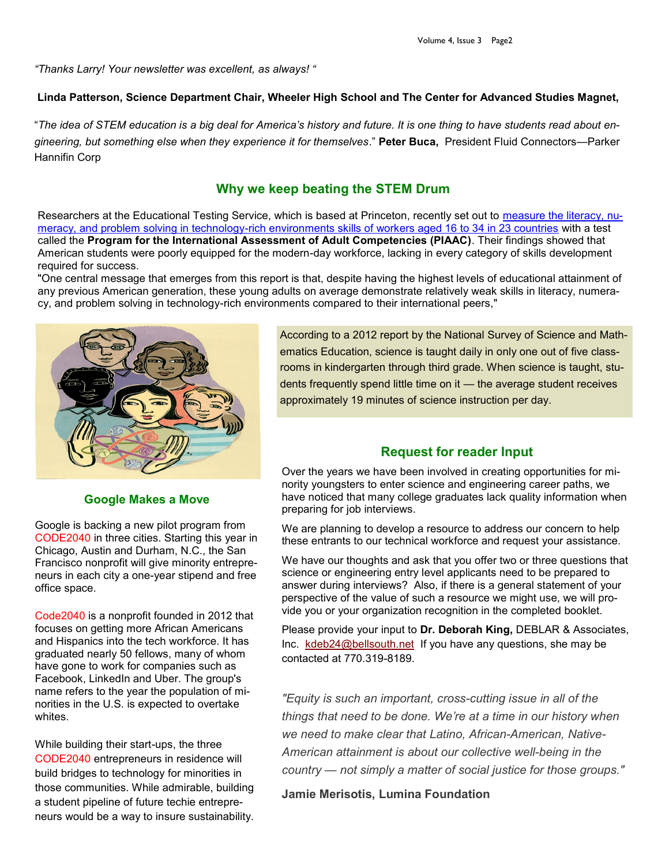*"Thanks Larry! Your newsletter was excellent, as always! "* 

#### **Linda Patterson, Science Department Chair, Wheeler High School and The Center for Advanced Studies Magnet,**

"*The idea of STEM education is a big deal for America's history and future. It is one thing to have students read about engineering, but something else when they experience it for themselves*." **Peter Buca,** President Fluid Connectors—Parker Hannifin Corp

# **Why we keep beating the STEM Drum**

Researchers at the Educational Testing Service, which is based at Princeton, recently set out to [measure the literacy, nu](http://www.ets.org/s/research/30079/index.html)meracy, and problem solving in technology-[rich environments skills of workers aged 16 to 34 in 23 countries](http://www.ets.org/s/research/30079/index.html) with a test called the **Program for the International Assessment of Adult Competencies (PIAAC)**. Their findings showed that American students were poorly equipped for the modern-day workforce, lacking in every category of skills development required for success.

"One central message that emerges from this report is that, despite having the highest levels of educational attainment of any previous American generation, these young adults on average demonstrate relatively weak skills in literacy, numeracy, and problem solving in technology-rich environments compared to their international peers,"



**Google Makes a Move**

Google is backing a new pilot program from CODE2040 in three cities. Starting this year in Chicago, Austin and Durham, N.C., the San Francisco nonprofit will give minority entrepreneurs in each city a one-year stipend and free office space.

Code2040 is a nonprofit founded in 2012 that focuses on getting more African Americans and Hispanics into the tech workforce. It has graduated nearly 50 fellows, many of whom have gone to work for companies such as Facebook, LinkedIn and Uber. The group's name refers to the year the population of minorities in the U.S. is expected to overtake whites.

While building their start-ups, the three CODE2040 entrepreneurs in residence will build bridges to technology for minorities in those communities. While admirable, building a student pipeline of future techie entrepreneurs would be a way to insure sustainability. According to a 2012 report by the National Survey of Science and Mathematics Education, science is taught daily in only one out of five classrooms in kindergarten through third grade. When science is taught, students frequently spend little time on it — the average student receives approximately 19 minutes of science instruction per day.

## **Request for reader Input**

Over the years we have been involved in creating opportunities for minority youngsters to enter science and engineering career paths, we have noticed that many college graduates lack quality information when preparing for job interviews.

We are planning to develop a resource to address our concern to help these entrants to our technical workforce and request your assistance.

We have our thoughts and ask that you offer two or three questions that science or engineering entry level applicants need to be prepared to answer during interviews? Also, if there is a general statement of your perspective of the value of such a resource we might use, we will provide you or your organization recognition in the completed booklet.

Please provide your input to **Dr. Deborah King,** DEBLAR & Associates, Inc. [kdeb24@bellsouth.net](mailto:kdeb24@bellsouth.net) If you have any questions, she may be contacted at 770.319-8189.

*"Equity is such an important, cross-cutting issue in all of the things that need to be done. We're at a time in our history when we need to make clear that Latino, African-American, Native-American attainment is about our collective well-being in the country — not simply a matter of social justice for those groups."*

**Jamie Merisotis, Lumina Foundation**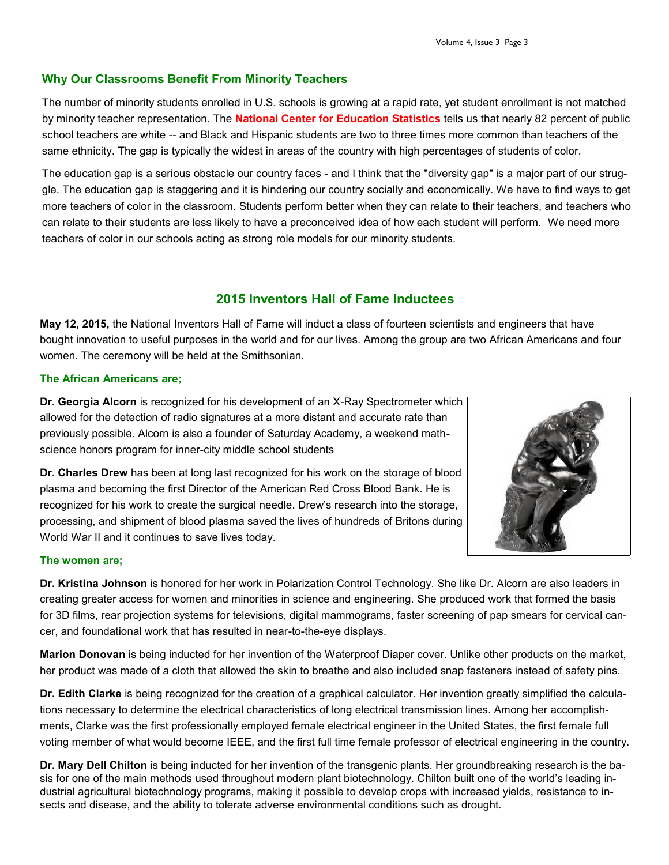#### **Why Our Classrooms Benefit From Minority Teachers**

The number of minority students enrolled in U.S. schools is growing at a rapid rate, yet student enrollment is not matched by minority teacher representation. The **National Center for Education Statistics** tells us that nearly 82 percent of public school teachers are white -- and Black and Hispanic students are two to three times more common than teachers of the same ethnicity. The gap is typically the widest in areas of the country with high percentages of students of color.

The education gap is a serious obstacle our country faces - and I think that the "diversity gap" is a major part of our struggle. The education gap is staggering and it is hindering our country socially and economically. We have to find ways to get more teachers of color in the classroom. Students perform better when they can relate to their teachers, and teachers who can relate to their students are less likely to have a preconceived idea of how each student will perform. We need more teachers of color in our schools acting as strong role models for our minority students.

# **2015 Inventors Hall of Fame Inductees**

**May 12, 2015,** the National Inventors Hall of Fame will induct a class of fourteen scientists and engineers that have bought innovation to useful purposes in the world and for our lives. Among the group are two African Americans and four women. The ceremony will be held at the Smithsonian.

#### **The African Americans are;**

**Dr. Georgia Alcorn** is recognized for his development of an X-Ray Spectrometer which allowed for the detection of radio signatures at a more distant and accurate rate than previously possible. Alcorn is also a founder of Saturday Academy, a weekend mathscience honors program for inner-city middle school students

**Dr. Charles Drew** has been at long last recognized for his work on the storage of blood plasma and becoming the first Director of the American Red Cross Blood Bank. He is recognized for his work to create the surgical needle. Drew's research into the storage, processing, and shipment of blood plasma saved the lives of hundreds of Britons during World War II and it continues to save lives today.



#### **The women are;**

**Dr. Kristina Johnson** is honored for her work in Polarization Control Technology. She like Dr. Alcorn are also leaders in creating greater access for women and minorities in science and engineering. She produced work that formed the basis for 3D films, rear projection systems for televisions, digital mammograms, faster screening of pap smears for cervical cancer, and foundational work that has resulted in near-to-the-eye displays.

**Marion Donovan** is being inducted for her invention of the Waterproof Diaper cover. Unlike other products on the market, her product was made of a cloth that allowed the skin to breathe and also included snap fasteners instead of safety pins.

**Dr. Edith Clarke** is being recognized for the creation of a graphical calculator. Her invention greatly simplified the calculations necessary to determine the electrical characteristics of long electrical transmission lines. Among her accomplishments, Clarke was the first professionally employed female electrical engineer in the United States, the first female full voting member of what would become IEEE, and the first full time female professor of electrical engineering in the country.

**Dr. Mary Dell Chilton** is being inducted for her invention of the transgenic plants. Her groundbreaking research is the basis for one of the main methods used throughout modern plant biotechnology. Chilton built one of the world's leading industrial agricultural biotechnology programs, making it possible to develop crops with increased yields, resistance to insects and disease, and the ability to tolerate adverse environmental conditions such as drought.